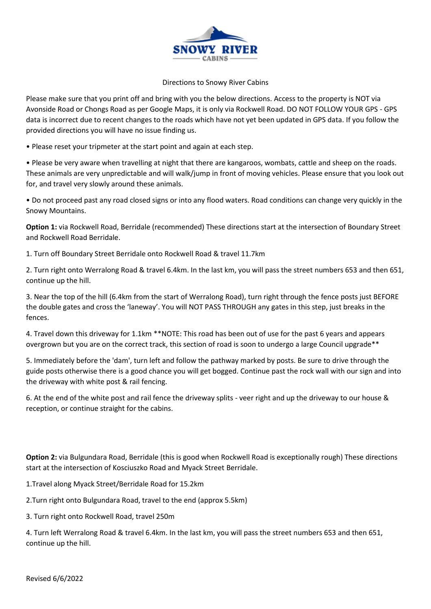

## Directions to Snowy River Cabins

Please make sure that you print off and bring with you the below directions. Access to the property is NOT via Avonside Road or Chongs Road as per Google Maps, it is only via Rockwell Road. DO NOT FOLLOW YOUR GPS - GPS data is incorrect due to recent changes to the roads which have not yet been updated in GPS data. If you follow the provided directions you will have no issue finding us.

• Please reset your tripmeter at the start point and again at each step.

• Please be very aware when travelling at night that there are kangaroos, wombats, cattle and sheep on the roads. These animals are very unpredictable and will walk/jump in front of moving vehicles. Please ensure that you look out for, and travel very slowly around these animals.

• Do not proceed past any road closed signs or into any flood waters. Road conditions can change very quickly in the Snowy Mountains.

**Option 1:** via Rockwell Road, Berridale (recommended) These directions start at the intersection of Boundary Street and Rockwell Road Berridale.

1. Turn off Boundary Street Berridale onto Rockwell Road & travel 11.7km

2. Turn right onto Werralong Road & travel 6.4km. In the last km, you will pass the street numbers 653 and then 651, continue up the hill.

3. Near the top of the hill (6.4km from the start of Werralong Road), turn right through the fence posts just BEFORE the double gates and cross the 'laneway'. You will NOT PASS THROUGH any gates in this step, just breaks in the fences.

4. Travel down this driveway for 1.1km \*\*NOTE: This road has been out of use for the past 6 years and appears overgrown but you are on the correct track, this section of road is soon to undergo a large Council upgrade\*\*

5. Immediately before the 'dam', turn left and follow the pathway marked by posts. Be sure to drive through the guide posts otherwise there is a good chance you will get bogged. Continue past the rock wall with our sign and into the driveway with white post & rail fencing.

6. At the end of the white post and rail fence the driveway splits - veer right and up the driveway to our house & reception, or continue straight for the cabins.

**Option 2:** via Bulgundara Road, Berridale (this is good when Rockwell Road is exceptionally rough) These directions start at the intersection of Kosciuszko Road and Myack Street Berridale.

1.Travel along Myack Street/Berridale Road for 15.2km

2.Turn right onto Bulgundara Road, travel to the end (approx 5.5km)

3. Turn right onto Rockwell Road, travel 250m

4. Turn left Werralong Road & travel 6.4km. In the last km, you will pass the street numbers 653 and then 651, continue up the hill.